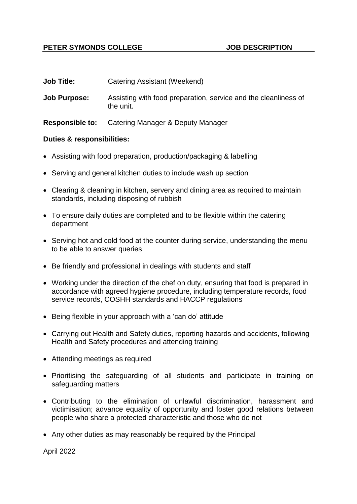# **PETER SYMONDS COLLEGE AND SUBBER SYMONDS**

| <b>Job Title:</b> | Catering Assistant (Weekend) |
|-------------------|------------------------------|
|-------------------|------------------------------|

**Job Purpose:** Assisting with food preparation, service and the cleanliness of the unit.

**Responsible to:** Catering Manager & Deputy Manager

### **Duties & responsibilities:**

- Assisting with food preparation, production/packaging & labelling
- Serving and general kitchen duties to include wash up section
- Clearing & cleaning in kitchen, servery and dining area as required to maintain standards, including disposing of rubbish
- To ensure daily duties are completed and to be flexible within the catering department
- Serving hot and cold food at the counter during service, understanding the menu to be able to answer queries
- Be friendly and professional in dealings with students and staff
- Working under the direction of the chef on duty, ensuring that food is prepared in accordance with agreed hygiene procedure, including temperature records, food service records, COSHH standards and HACCP regulations
- Being flexible in your approach with a 'can do' attitude
- Carrying out Health and Safety duties, reporting hazards and accidents, following Health and Safety procedures and attending training
- Attending meetings as required
- Prioritising the safeguarding of all students and participate in training on safeguarding matters
- Contributing to the elimination of unlawful discrimination, harassment and victimisation; advance equality of opportunity and foster good relations between people who share a protected characteristic and those who do not
- Any other duties as may reasonably be required by the Principal

April 2022